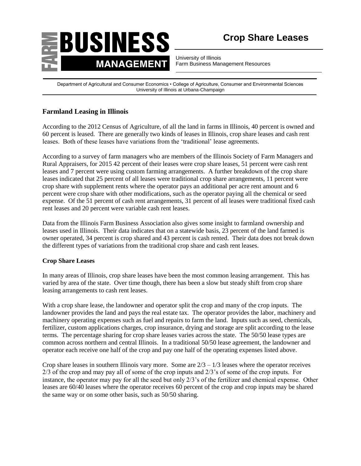

University of Illinois Farm Business Management Resources

Department of Agricultural and Consumer Economics • College of Agriculture, Consumer and Environmental Sciences University of Illinois at Urbana-Champaign

## **Farmland Leasing in Illinois**

According to the 2012 Census of Agriculture, of all the land in farms in Illinois, 40 percent is owned and 60 percent is leased. There are generally two kinds of leases in Illinois, crop share leases and cash rent leases. Both of these leases have variations from the 'traditional' lease agreements.

According to a survey of farm managers who are members of the Illinois Society of Farm Managers and Rural Appraisers, for 2015 42 percent of their leases were crop share leases, 51 percent were cash rent leases and 7 percent were using custom farming arrangements. A further breakdown of the crop share leases indicated that 25 percent of all leases were traditional crop share arrangements, 11 percent were crop share with supplement rents where the operator pays an additional per acre rent amount and 6 percent were crop share with other modifications, such as the operator paying all the chemical or seed expense. Of the 51 percent of cash rent arrangements, 31 percent of all leases were traditional fixed cash rent leases and 20 percent were variable cash rent leases.

Data from the Illinois Farm Business Association also gives some insight to farmland ownership and leases used in Illinois. Their data indicates that on a statewide basis, 23 percent of the land farmed is owner operated, 34 percent is crop shared and 43 percent is cash rented. Their data does not break down the different types of variations from the traditional crop share and cash rent leases.

## **Crop Share Leases**

In many areas of Illinois, crop share leases have been the most common leasing arrangement. This has varied by area of the state. Over time though, there has been a slow but steady shift from crop share leasing arrangements to cash rent leases.

With a crop share lease, the landowner and operator split the crop and many of the crop inputs. The landowner provides the land and pays the real estate tax. The operator provides the labor, machinery and machinery operating expenses such as fuel and repairs to farm the land. Inputs such as seed, chemicals, fertilizer, custom applications charges, crop insurance, drying and storage are split according to the lease terms. The percentage sharing for crop share leases varies across the state. The 50/50 lease types are common across northern and central Illinois. In a traditional 50/50 lease agreement, the landowner and operator each receive one half of the crop and pay one half of the operating expenses listed above.

Crop share leases in southern Illinois vary more. Some are  $2/3 - 1/3$  leases where the operator receives 2/3 of the crop and may pay all of some of the crop inputs and 2/3's of some of the crop inputs. For instance, the operator may pay for all the seed but only 2/3's of the fertilizer and chemical expense. Other leases are 60/40 leases where the operator receives 60 percent of the crop and crop inputs may be shared the same way or on some other basis, such as 50/50 sharing.